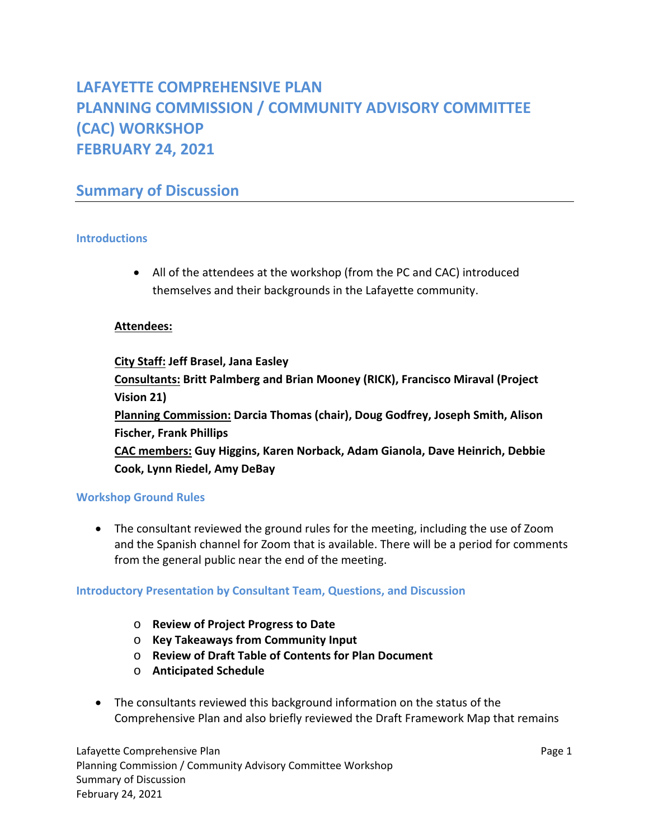# **LAFAYETTE COMPREHENSIVE PLAN PLANNING COMMISSION / COMMUNITY ADVISORY COMMITTEE (CAC) WORKSHOP FEBRUARY 24, 2021**

## **Summary of Discussion**

## **Introductions**

 All of the attendees at the workshop (from the PC and CAC) introduced themselves and their backgrounds in the Lafayette community.

## **Attendees:**

**City Staff: Jeff Brasel, Jana Easley Consultants: Britt Palmberg and Brian Mooney (RICK), Francisco Miraval (Project Vision 21) Planning Commission: Darcia Thomas (chair), Doug Godfrey, Joseph Smith, Alison Fischer, Frank Phillips CAC members: Guy Higgins, Karen Norback, Adam Gianola, Dave Heinrich, Debbie Cook, Lynn Riedel, Amy DeBay** 

## **Workshop Ground Rules**

 The consultant reviewed the ground rules for the meeting, including the use of Zoom and the Spanish channel for Zoom that is available. There will be a period for comments from the general public near the end of the meeting.

#### **Introductory Presentation by Consultant Team, Questions, and Discussion**

- o **Review of Project Progress to Date**
- o **Key Takeaways from Community Input**
- o **Review of Draft Table of Contents for Plan Document**
- o **Anticipated Schedule**
- The consultants reviewed this background information on the status of the Comprehensive Plan and also briefly reviewed the Draft Framework Map that remains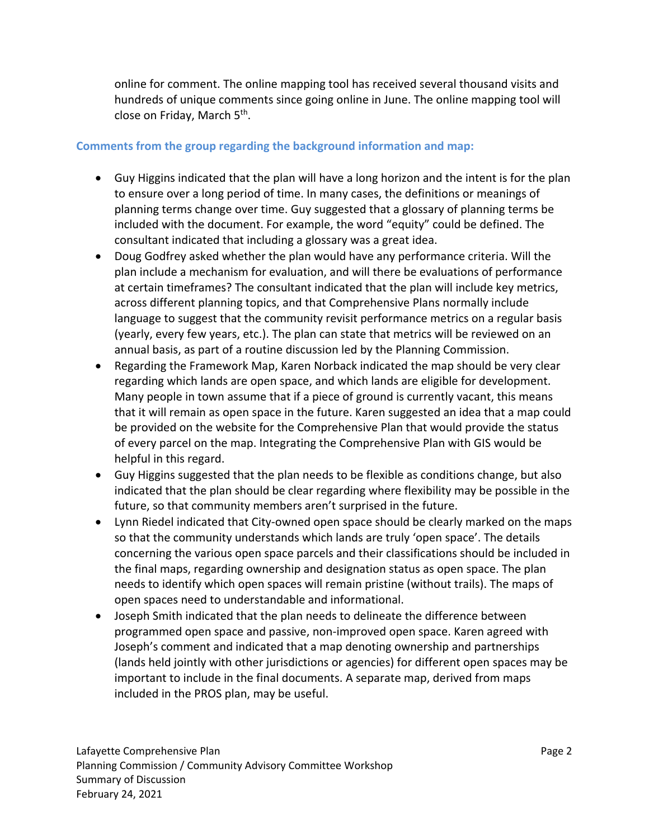online for comment. The online mapping tool has received several thousand visits and hundreds of unique comments since going online in June. The online mapping tool will close on Friday, March 5<sup>th</sup>.

## **Comments from the group regarding the background information and map:**

- Guy Higgins indicated that the plan will have a long horizon and the intent is for the plan to ensure over a long period of time. In many cases, the definitions or meanings of planning terms change over time. Guy suggested that a glossary of planning terms be included with the document. For example, the word "equity" could be defined. The consultant indicated that including a glossary was a great idea.
- Doug Godfrey asked whether the plan would have any performance criteria. Will the plan include a mechanism for evaluation, and will there be evaluations of performance at certain timeframes? The consultant indicated that the plan will include key metrics, across different planning topics, and that Comprehensive Plans normally include language to suggest that the community revisit performance metrics on a regular basis (yearly, every few years, etc.). The plan can state that metrics will be reviewed on an annual basis, as part of a routine discussion led by the Planning Commission.
- Regarding the Framework Map, Karen Norback indicated the map should be very clear regarding which lands are open space, and which lands are eligible for development. Many people in town assume that if a piece of ground is currently vacant, this means that it will remain as open space in the future. Karen suggested an idea that a map could be provided on the website for the Comprehensive Plan that would provide the status of every parcel on the map. Integrating the Comprehensive Plan with GIS would be helpful in this regard.
- Guy Higgins suggested that the plan needs to be flexible as conditions change, but also indicated that the plan should be clear regarding where flexibility may be possible in the future, so that community members aren't surprised in the future.
- Lynn Riedel indicated that City‐owned open space should be clearly marked on the maps so that the community understands which lands are truly 'open space'. The details concerning the various open space parcels and their classifications should be included in the final maps, regarding ownership and designation status as open space. The plan needs to identify which open spaces will remain pristine (without trails). The maps of open spaces need to understandable and informational.
- Joseph Smith indicated that the plan needs to delineate the difference between programmed open space and passive, non‐improved open space. Karen agreed with Joseph's comment and indicated that a map denoting ownership and partnerships (lands held jointly with other jurisdictions or agencies) for different open spaces may be important to include in the final documents. A separate map, derived from maps included in the PROS plan, may be useful.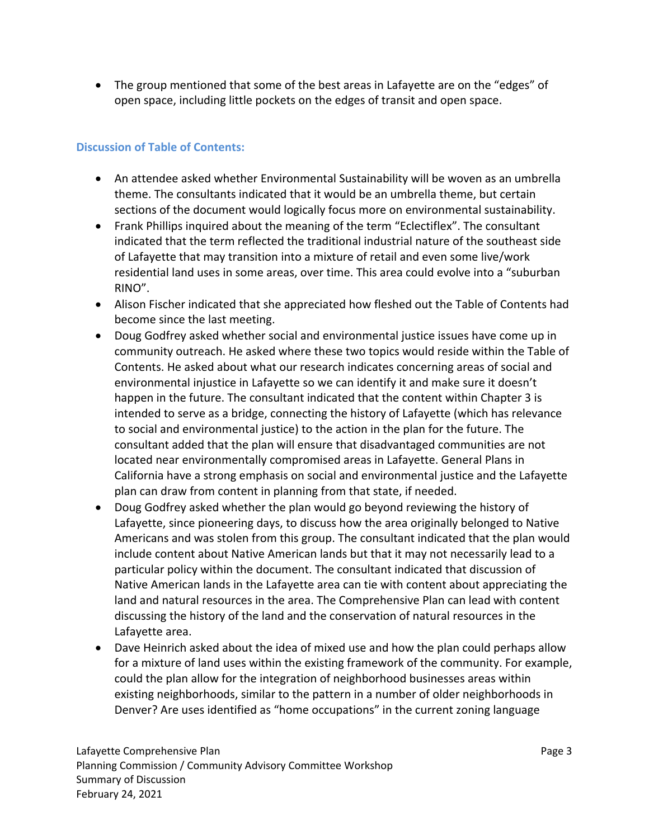The group mentioned that some of the best areas in Lafayette are on the "edges" of open space, including little pockets on the edges of transit and open space.

#### **Discussion of Table of Contents:**

- An attendee asked whether Environmental Sustainability will be woven as an umbrella theme. The consultants indicated that it would be an umbrella theme, but certain sections of the document would logically focus more on environmental sustainability.
- Frank Phillips inquired about the meaning of the term "Eclectiflex". The consultant indicated that the term reflected the traditional industrial nature of the southeast side of Lafayette that may transition into a mixture of retail and even some live/work residential land uses in some areas, over time. This area could evolve into a "suburban RINO".
- Alison Fischer indicated that she appreciated how fleshed out the Table of Contents had become since the last meeting.
- Doug Godfrey asked whether social and environmental justice issues have come up in community outreach. He asked where these two topics would reside within the Table of Contents. He asked about what our research indicates concerning areas of social and environmental injustice in Lafayette so we can identify it and make sure it doesn't happen in the future. The consultant indicated that the content within Chapter 3 is intended to serve as a bridge, connecting the history of Lafayette (which has relevance to social and environmental justice) to the action in the plan for the future. The consultant added that the plan will ensure that disadvantaged communities are not located near environmentally compromised areas in Lafayette. General Plans in California have a strong emphasis on social and environmental justice and the Lafayette plan can draw from content in planning from that state, if needed.
- Doug Godfrey asked whether the plan would go beyond reviewing the history of Lafayette, since pioneering days, to discuss how the area originally belonged to Native Americans and was stolen from this group. The consultant indicated that the plan would include content about Native American lands but that it may not necessarily lead to a particular policy within the document. The consultant indicated that discussion of Native American lands in the Lafayette area can tie with content about appreciating the land and natural resources in the area. The Comprehensive Plan can lead with content discussing the history of the land and the conservation of natural resources in the Lafayette area.
- Dave Heinrich asked about the idea of mixed use and how the plan could perhaps allow for a mixture of land uses within the existing framework of the community. For example, could the plan allow for the integration of neighborhood businesses areas within existing neighborhoods, similar to the pattern in a number of older neighborhoods in Denver? Are uses identified as "home occupations" in the current zoning language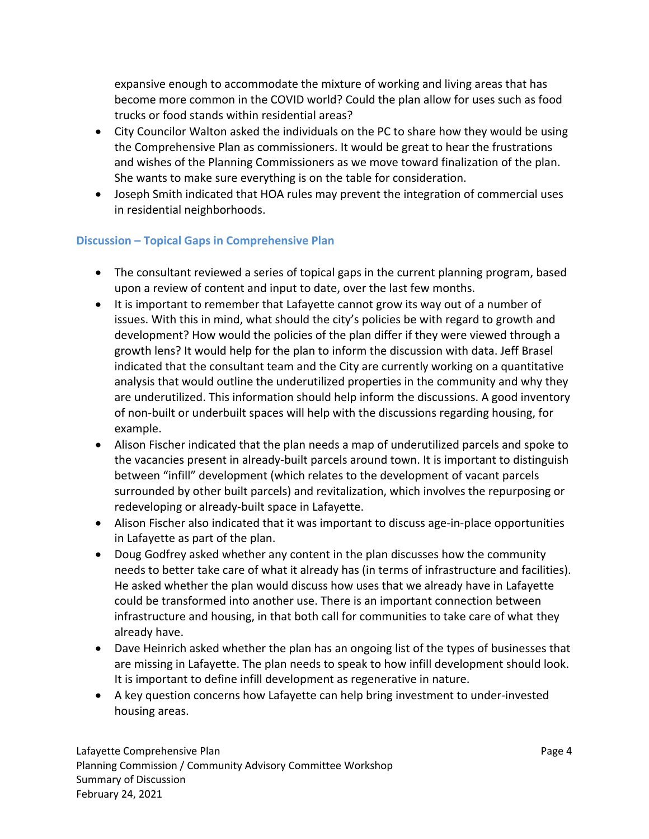expansive enough to accommodate the mixture of working and living areas that has become more common in the COVID world? Could the plan allow for uses such as food trucks or food stands within residential areas?

- City Councilor Walton asked the individuals on the PC to share how they would be using the Comprehensive Plan as commissioners. It would be great to hear the frustrations and wishes of the Planning Commissioners as we move toward finalization of the plan. She wants to make sure everything is on the table for consideration.
- Joseph Smith indicated that HOA rules may prevent the integration of commercial uses in residential neighborhoods.

## **Discussion – Topical Gaps in Comprehensive Plan**

- The consultant reviewed a series of topical gaps in the current planning program, based upon a review of content and input to date, over the last few months.
- It is important to remember that Lafayette cannot grow its way out of a number of issues. With this in mind, what should the city's policies be with regard to growth and development? How would the policies of the plan differ if they were viewed through a growth lens? It would help for the plan to inform the discussion with data. Jeff Brasel indicated that the consultant team and the City are currently working on a quantitative analysis that would outline the underutilized properties in the community and why they are underutilized. This information should help inform the discussions. A good inventory of non‐built or underbuilt spaces will help with the discussions regarding housing, for example.
- Alison Fischer indicated that the plan needs a map of underutilized parcels and spoke to the vacancies present in already‐built parcels around town. It is important to distinguish between "infill" development (which relates to the development of vacant parcels surrounded by other built parcels) and revitalization, which involves the repurposing or redeveloping or already‐built space in Lafayette.
- Alison Fischer also indicated that it was important to discuss age-in-place opportunities in Lafayette as part of the plan.
- Doug Godfrey asked whether any content in the plan discusses how the community needs to better take care of what it already has (in terms of infrastructure and facilities). He asked whether the plan would discuss how uses that we already have in Lafayette could be transformed into another use. There is an important connection between infrastructure and housing, in that both call for communities to take care of what they already have.
- Dave Heinrich asked whether the plan has an ongoing list of the types of businesses that are missing in Lafayette. The plan needs to speak to how infill development should look. It is important to define infill development as regenerative in nature.
- A key question concerns how Lafayette can help bring investment to under‐invested housing areas.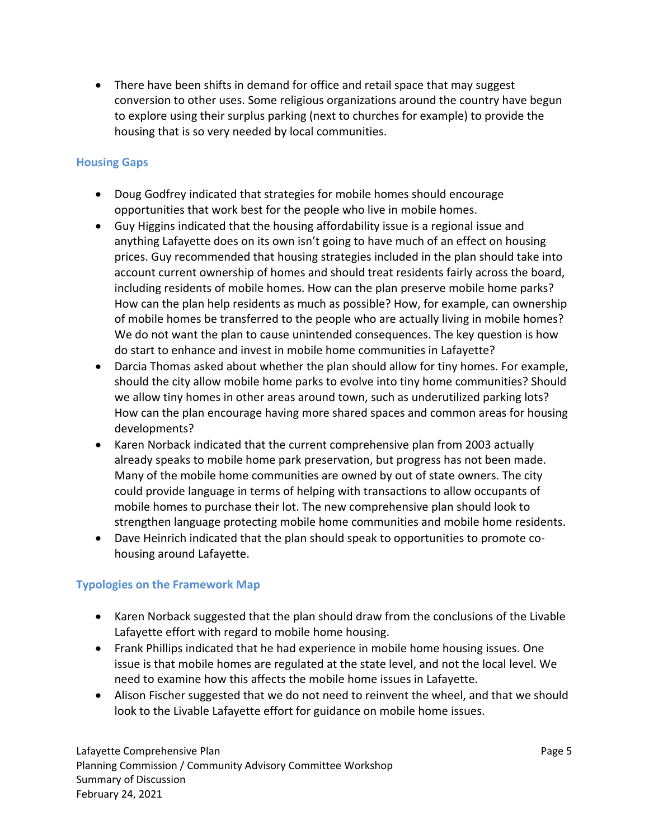• There have been shifts in demand for office and retail space that may suggest conversion to other uses. Some religious organizations around the country have begun to explore using their surplus parking (next to churches for example) to provide the housing that is so very needed by local communities.

#### **Housing Gaps**

- Doug Godfrey indicated that strategies for mobile homes should encourage opportunities that work best for the people who live in mobile homes.
- Guy Higgins indicated that the housing affordability issue is a regional issue and anything Lafayette does on its own isn't going to have much of an effect on housing prices. Guy recommended that housing strategies included in the plan should take into account current ownership of homes and should treat residents fairly across the board, including residents of mobile homes. How can the plan preserve mobile home parks? How can the plan help residents as much as possible? How, for example, can ownership of mobile homes be transferred to the people who are actually living in mobile homes? We do not want the plan to cause unintended consequences. The key question is how do start to enhance and invest in mobile home communities in Lafayette?
- Darcia Thomas asked about whether the plan should allow for tiny homes. For example, should the city allow mobile home parks to evolve into tiny home communities? Should we allow tiny homes in other areas around town, such as underutilized parking lots? How can the plan encourage having more shared spaces and common areas for housing developments?
- Karen Norback indicated that the current comprehensive plan from 2003 actually already speaks to mobile home park preservation, but progress has not been made. Many of the mobile home communities are owned by out of state owners. The city could provide language in terms of helping with transactions to allow occupants of mobile homes to purchase their lot. The new comprehensive plan should look to strengthen language protecting mobile home communities and mobile home residents.
- Dave Heinrich indicated that the plan should speak to opportunities to promote cohousing around Lafayette.

## **Typologies on the Framework Map**

- Karen Norback suggested that the plan should draw from the conclusions of the Livable Lafayette effort with regard to mobile home housing.
- Frank Phillips indicated that he had experience in mobile home housing issues. One issue is that mobile homes are regulated at the state level, and not the local level. We need to examine how this affects the mobile home issues in Lafayette.
- Alison Fischer suggested that we do not need to reinvent the wheel, and that we should look to the Livable Lafayette effort for guidance on mobile home issues.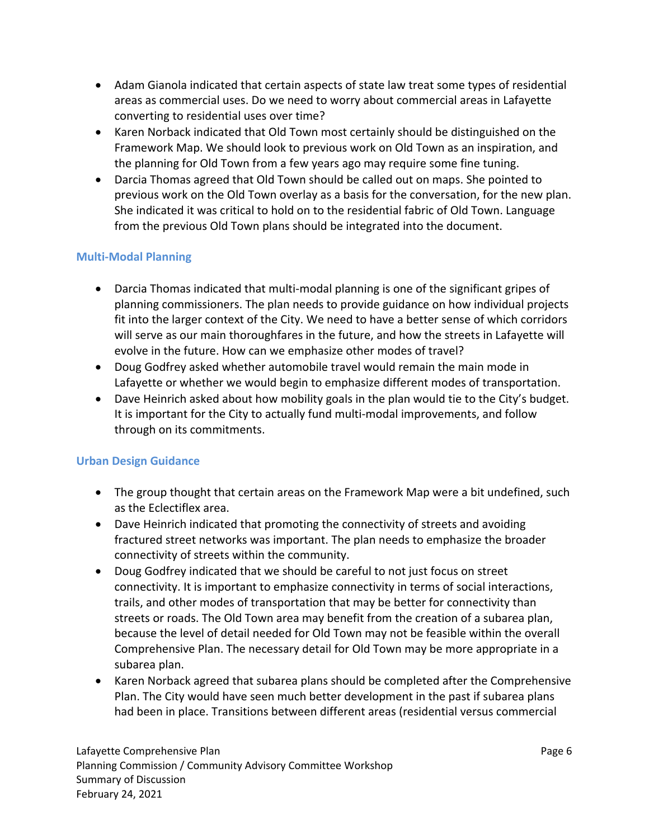- Adam Gianola indicated that certain aspects of state law treat some types of residential areas as commercial uses. Do we need to worry about commercial areas in Lafayette converting to residential uses over time?
- Karen Norback indicated that Old Town most certainly should be distinguished on the Framework Map. We should look to previous work on Old Town as an inspiration, and the planning for Old Town from a few years ago may require some fine tuning.
- Darcia Thomas agreed that Old Town should be called out on maps. She pointed to previous work on the Old Town overlay as a basis for the conversation, for the new plan. She indicated it was critical to hold on to the residential fabric of Old Town. Language from the previous Old Town plans should be integrated into the document.

## **Multi‐Modal Planning**

- Darcia Thomas indicated that multi-modal planning is one of the significant gripes of planning commissioners. The plan needs to provide guidance on how individual projects fit into the larger context of the City. We need to have a better sense of which corridors will serve as our main thoroughfares in the future, and how the streets in Lafayette will evolve in the future. How can we emphasize other modes of travel?
- Doug Godfrey asked whether automobile travel would remain the main mode in Lafayette or whether we would begin to emphasize different modes of transportation.
- Dave Heinrich asked about how mobility goals in the plan would tie to the City's budget. It is important for the City to actually fund multi-modal improvements, and follow through on its commitments.

## **Urban Design Guidance**

- The group thought that certain areas on the Framework Map were a bit undefined, such as the Eclectiflex area.
- Dave Heinrich indicated that promoting the connectivity of streets and avoiding fractured street networks was important. The plan needs to emphasize the broader connectivity of streets within the community.
- Doug Godfrey indicated that we should be careful to not just focus on street connectivity. It is important to emphasize connectivity in terms of social interactions, trails, and other modes of transportation that may be better for connectivity than streets or roads. The Old Town area may benefit from the creation of a subarea plan, because the level of detail needed for Old Town may not be feasible within the overall Comprehensive Plan. The necessary detail for Old Town may be more appropriate in a subarea plan.
- Karen Norback agreed that subarea plans should be completed after the Comprehensive Plan. The City would have seen much better development in the past if subarea plans had been in place. Transitions between different areas (residential versus commercial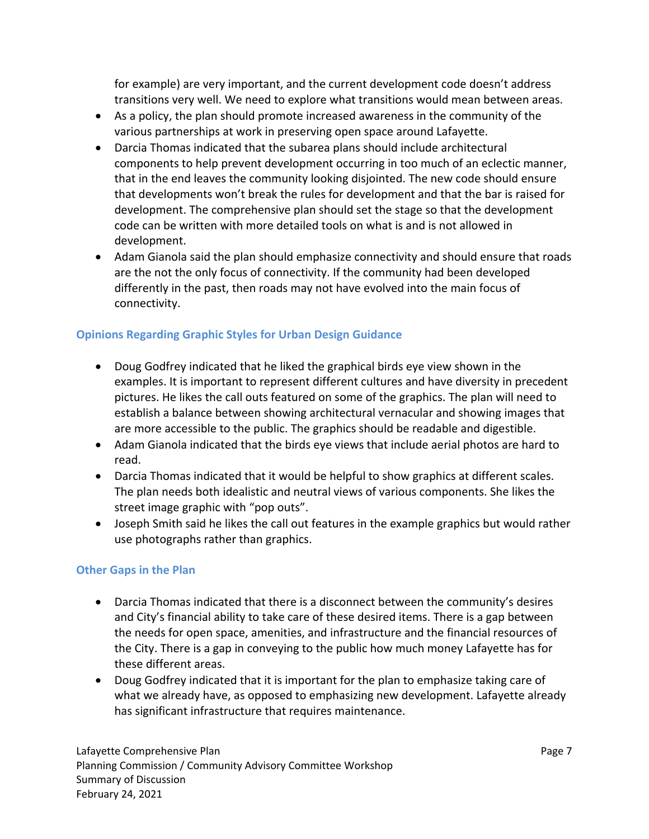for example) are very important, and the current development code doesn't address transitions very well. We need to explore what transitions would mean between areas.

- As a policy, the plan should promote increased awareness in the community of the various partnerships at work in preserving open space around Lafayette.
- Darcia Thomas indicated that the subarea plans should include architectural components to help prevent development occurring in too much of an eclectic manner, that in the end leaves the community looking disjointed. The new code should ensure that developments won't break the rules for development and that the bar is raised for development. The comprehensive plan should set the stage so that the development code can be written with more detailed tools on what is and is not allowed in development.
- Adam Gianola said the plan should emphasize connectivity and should ensure that roads are the not the only focus of connectivity. If the community had been developed differently in the past, then roads may not have evolved into the main focus of connectivity.

## **Opinions Regarding Graphic Styles for Urban Design Guidance**

- Doug Godfrey indicated that he liked the graphical birds eye view shown in the examples. It is important to represent different cultures and have diversity in precedent pictures. He likes the call outs featured on some of the graphics. The plan will need to establish a balance between showing architectural vernacular and showing images that are more accessible to the public. The graphics should be readable and digestible.
- Adam Gianola indicated that the birds eye views that include aerial photos are hard to read.
- Darcia Thomas indicated that it would be helpful to show graphics at different scales. The plan needs both idealistic and neutral views of various components. She likes the street image graphic with "pop outs".
- Joseph Smith said he likes the call out features in the example graphics but would rather use photographs rather than graphics.

## **Other Gaps in the Plan**

- Darcia Thomas indicated that there is a disconnect between the community's desires and City's financial ability to take care of these desired items. There is a gap between the needs for open space, amenities, and infrastructure and the financial resources of the City. There is a gap in conveying to the public how much money Lafayette has for these different areas.
- Doug Godfrey indicated that it is important for the plan to emphasize taking care of what we already have, as opposed to emphasizing new development. Lafayette already has significant infrastructure that requires maintenance.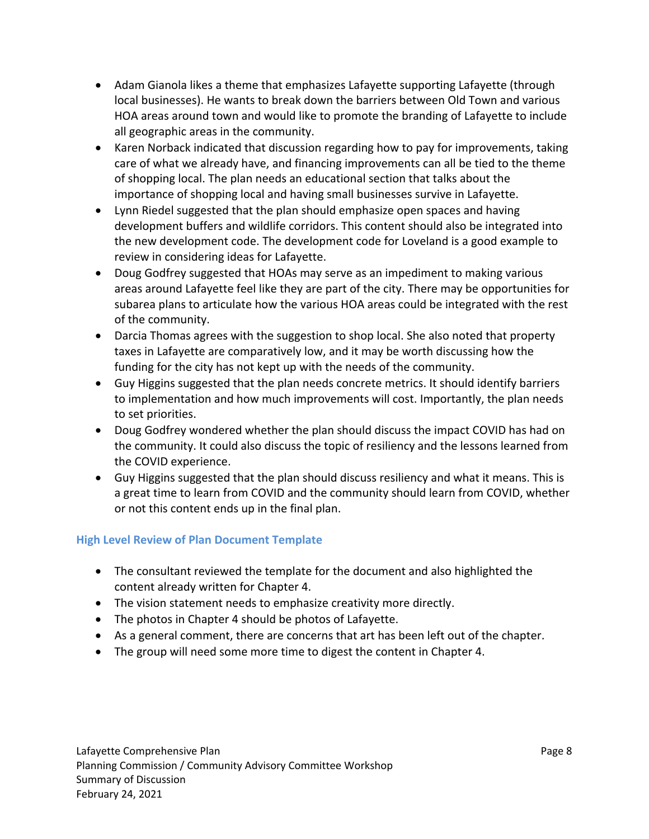- Adam Gianola likes a theme that emphasizes Lafayette supporting Lafayette (through local businesses). He wants to break down the barriers between Old Town and various HOA areas around town and would like to promote the branding of Lafayette to include all geographic areas in the community.
- Karen Norback indicated that discussion regarding how to pay for improvements, taking care of what we already have, and financing improvements can all be tied to the theme of shopping local. The plan needs an educational section that talks about the importance of shopping local and having small businesses survive in Lafayette.
- Lynn Riedel suggested that the plan should emphasize open spaces and having development buffers and wildlife corridors. This content should also be integrated into the new development code. The development code for Loveland is a good example to review in considering ideas for Lafayette.
- Doug Godfrey suggested that HOAs may serve as an impediment to making various areas around Lafayette feel like they are part of the city. There may be opportunities for subarea plans to articulate how the various HOA areas could be integrated with the rest of the community.
- Darcia Thomas agrees with the suggestion to shop local. She also noted that property taxes in Lafayette are comparatively low, and it may be worth discussing how the funding for the city has not kept up with the needs of the community.
- Guy Higgins suggested that the plan needs concrete metrics. It should identify barriers to implementation and how much improvements will cost. Importantly, the plan needs to set priorities.
- Doug Godfrey wondered whether the plan should discuss the impact COVID has had on the community. It could also discuss the topic of resiliency and the lessons learned from the COVID experience.
- Guy Higgins suggested that the plan should discuss resiliency and what it means. This is a great time to learn from COVID and the community should learn from COVID, whether or not this content ends up in the final plan.

## **High Level Review of Plan Document Template**

- The consultant reviewed the template for the document and also highlighted the content already written for Chapter 4.
- The vision statement needs to emphasize creativity more directly.
- The photos in Chapter 4 should be photos of Lafayette.
- As a general comment, there are concerns that art has been left out of the chapter.
- The group will need some more time to digest the content in Chapter 4.